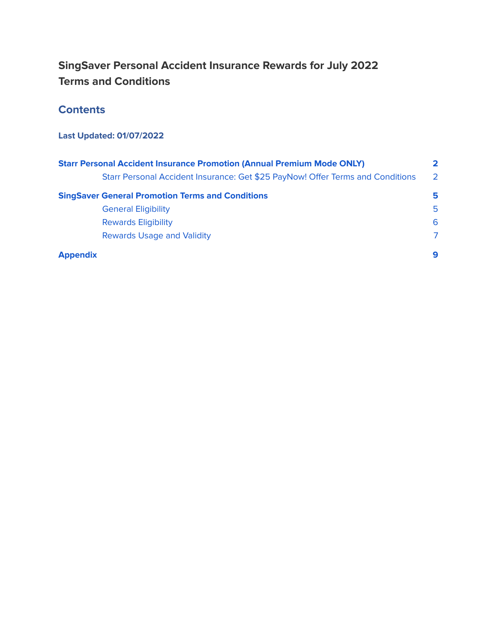## **SingSaver Personal Accident Insurance Rewards for July 2022 Terms and Conditions**

### **Contents**

### **Last Updated: 01/07/2022**

| <b>Starr Personal Accident Insurance Promotion (Annual Premium Mode ONLY)</b>  |                |
|--------------------------------------------------------------------------------|----------------|
| Starr Personal Accident Insurance: Get \$25 PayNow! Offer Terms and Conditions | $\overline{2}$ |
| <b>SingSaver General Promotion Terms and Conditions</b>                        | 5              |
| <b>General Eligibility</b>                                                     | 5              |
| <b>Rewards Eligibility</b>                                                     | 6              |
| <b>Rewards Usage and Validity</b>                                              | $\mathcal{L}$  |
| <b>Appendix</b>                                                                | 9              |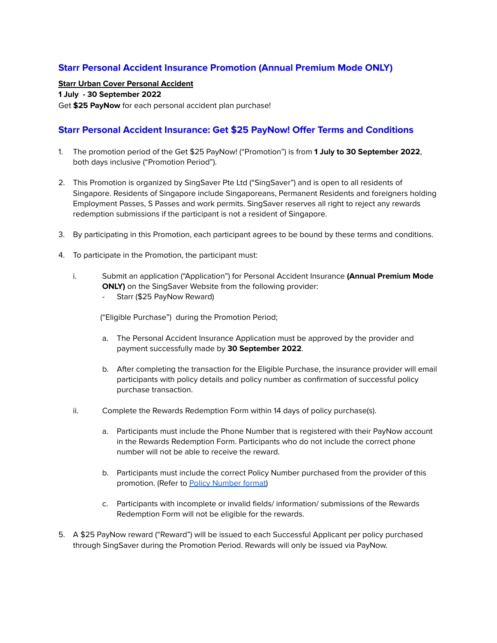### <span id="page-1-0"></span>**Starr Personal Accident Insurance Promotion (Annual Premium Mode ONLY)**

#### **Starr Urban Cover Personal Accident**

### **1 July - 30 September 2022**

Get **\$25 PayNow** for each personal accident plan purchase!

### <span id="page-1-1"></span>**Starr Personal Accident Insurance: Get \$25 PayNow! Offer Terms and Conditions**

- 1. The promotion period of the Get \$25 PayNow! ("Promotion") is from **1 July to 30 September 2022**, both days inclusive ("Promotion Period").
- 2. This Promotion is organized by SingSaver Pte Ltd ("SingSaver") and is open to all residents of Singapore. Residents of Singapore include Singaporeans, Permanent Residents and foreigners holding Employment Passes, S Passes and work permits. SingSaver reserves all right to reject any rewards redemption submissions if the participant is not a resident of Singapore.
- 3. By participating in this Promotion, each participant agrees to be bound by these terms and conditions.
- 4. To participate in the Promotion, the participant must:
	- i. Submit an application ("Application") for Personal Accident Insurance **(Annual Premium Mode ONLY)** on the SingSaver Website from the following provider:
		- Starr (\$25 PayNow Reward)

("Eligible Purchase") during the Promotion Period;

- a. The Personal Accident Insurance Application must be approved by the provider and payment successfully made by **30 September 2022**.
- b. After completing the transaction for the Eligible Purchase, the insurance provider will email participants with policy details and policy number as confirmation of successful policy purchase transaction.
- ii. Complete the Rewards Redemption Form within 14 days of policy purchase(s).
	- a. Participants must include the Phone Number that is registered with their PayNow account in the Rewards Redemption Form. Participants who do not include the correct phone number will not be able to receive the reward.
	- b. Participants must include the correct Policy Number purchased from the provider of this promotion. (Refer to Policy [Number](#page-8-1) format)
	- c. Participants with incomplete or invalid fields/ information/ submissions of the Rewards Redemption Form will not be eligible for the rewards.
- 5. A \$25 PayNow reward ("Reward") will be issued to each Successful Applicant per policy purchased through SingSaver during the Promotion Period. Rewards will only be issued via PayNow.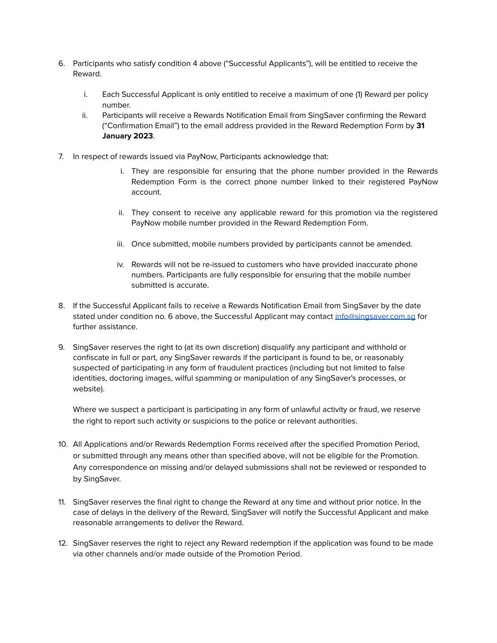- 6. Participants who satisfy condition 4 above ("Successful Applicants"), will be entitled to receive the Reward.
	- i. Each Successful Applicant is only entitled to receive a maximum of one (1) Reward per policy number.
	- ii. Participants will receive a Rewards Notification Email from SingSaver confirming the Reward ("Confirmation Email") to the email address provided in the Reward Redemption Form by **31 January 2023**.
- 7. In respect of rewards issued via PayNow, Participants acknowledge that:
	- i. They are responsible for ensuring that the phone number provided in the Rewards Redemption Form is the correct phone number linked to their registered PayNow account.
	- ii. They consent to receive any applicable reward for this promotion via the registered PayNow mobile number provided in the Reward Redemption Form.
	- iii. Once submitted, mobile numbers provided by participants cannot be amended.
	- iv. Rewards will not be re-issued to customers who have provided inaccurate phone numbers. Participants are fully responsible for ensuring that the mobile number submitted is accurate.
- 8. If the Successful Applicant fails to receive a Rewards Notification Email from SingSaver by the date stated under condition no. 6 above, the Successful Applicant may contact [info@singsaver.com.sg](mailto:info@singsaver.com.sg) for further assistance.
- 9. SingSaver reserves the right to (at its own discretion) disqualify any participant and withhold or confiscate in full or part, any SingSaver rewards if the participant is found to be, or reasonably suspected of participating in any form of fraudulent practices (including but not limited to false identities, doctoring images, wilful spamming or manipulation of any SingSaver's processes, or website).

Where we suspect a participant is participating in any form of unlawful activity or fraud, we reserve the right to report such activity or suspicions to the police or relevant authorities.

- 10. All Applications and/or Rewards Redemption Forms received after the specified Promotion Period, or submitted through any means other than specified above, will not be eligible for the Promotion. Any correspondence on missing and/or delayed submissions shall not be reviewed or responded to by SingSaver.
- 11. SingSaver reserves the final right to change the Reward at any time and without prior notice. In the case of delays in the delivery of the Reward, SingSaver will notify the Successful Applicant and make reasonable arrangements to deliver the Reward.
- 12. SingSaver reserves the right to reject any Reward redemption if the application was found to be made via other channels and/or made outside of the Promotion Period.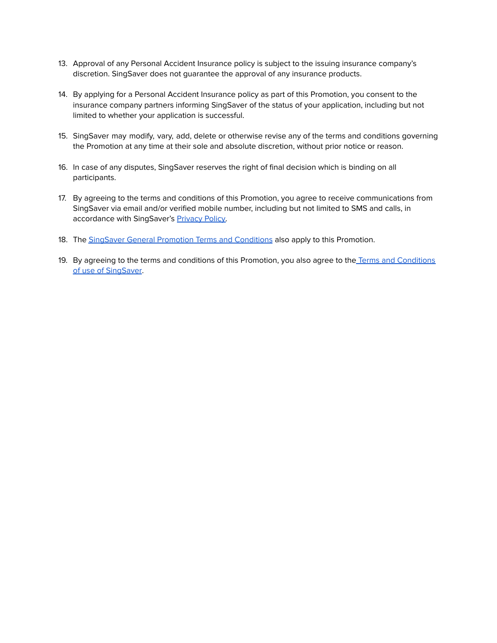- 13. Approval of any Personal Accident Insurance policy is subject to the issuing insurance company's discretion. SingSaver does not guarantee the approval of any insurance products.
- 14. By applying for a Personal Accident Insurance policy as part of this Promotion, you consent to the insurance company partners informing SingSaver of the status of your application, including but not limited to whether your application is successful.
- 15. SingSaver may modify, vary, add, delete or otherwise revise any of the terms and conditions governing the Promotion at any time at their sole and absolute discretion, without prior notice or reason.
- 16. In case of any disputes, SingSaver reserves the right of final decision which is binding on all participants.
- 17. By agreeing to the terms and conditions of this Promotion, you agree to receive communications from SingSaver via email and/or verified mobile number, including but not limited to SMS and calls, in accordance with SingSaver's [Privacy](https://www.singsaver.com.sg/privacy-policy) Policy.
- 18. The SingSaver General Promotion Terms and [Conditions](#page-4-2) also apply to this Promotion.
- 19. By agreeing to the terms and conditions of this Promotion, you also agree to the Terms and [Conditions](https://www.singsaver.com.sg/terms) of use of [SingSaver.](https://www.singsaver.com.sg/terms)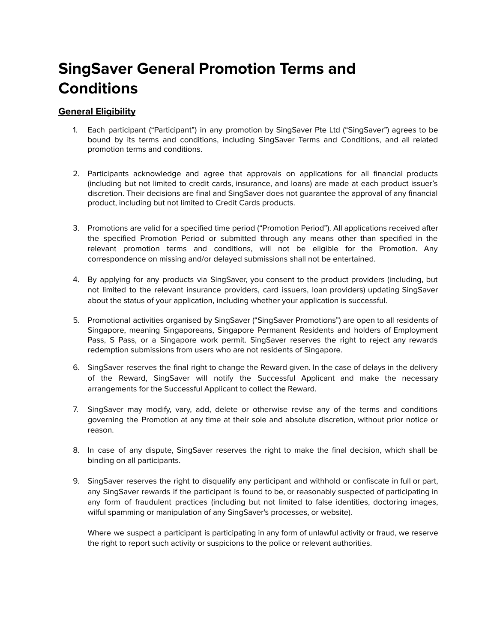## <span id="page-4-2"></span><span id="page-4-0"></span>**SingSaver General Promotion Terms and Conditions**

### <span id="page-4-1"></span>**General Eligibility**

- 1. Each participant ("Participant") in any promotion by SingSaver Pte Ltd ("SingSaver") agrees to be bound by its terms and conditions, including SingSaver Terms and Conditions, and all related promotion terms and conditions.
- 2. Participants acknowledge and agree that approvals on applications for all financial products (including but not limited to credit cards, insurance, and loans) are made at each product issuer's discretion. Their decisions are final and SingSaver does not guarantee the approval of any financial product, including but not limited to Credit Cards products.
- 3. Promotions are valid for a specified time period ("Promotion Period"). All applications received after the specified Promotion Period or submitted through any means other than specified in the relevant promotion terms and conditions, will not be eligible for the Promotion. Any correspondence on missing and/or delayed submissions shall not be entertained.
- 4. By applying for any products via SingSaver, you consent to the product providers (including, but not limited to the relevant insurance providers, card issuers, loan providers) updating SingSaver about the status of your application, including whether your application is successful.
- 5. Promotional activities organised by SingSaver ("SingSaver Promotions") are open to all residents of Singapore, meaning Singaporeans, Singapore Permanent Residents and holders of Employment Pass, S Pass, or a Singapore work permit. SingSaver reserves the right to reject any rewards redemption submissions from users who are not residents of Singapore.
- 6. SingSaver reserves the final right to change the Reward given. In the case of delays in the delivery of the Reward, SingSaver will notify the Successful Applicant and make the necessary arrangements for the Successful Applicant to collect the Reward.
- 7. SingSaver may modify, vary, add, delete or otherwise revise any of the terms and conditions governing the Promotion at any time at their sole and absolute discretion, without prior notice or reason.
- 8. In case of any dispute, SingSaver reserves the right to make the final decision, which shall be binding on all participants.
- 9. SingSaver reserves the right to disqualify any participant and withhold or confiscate in full or part, any SingSaver rewards if the participant is found to be, or reasonably suspected of participating in any form of fraudulent practices (including but not limited to false identities, doctoring images, wilful spamming or manipulation of any SingSaver's processes, or website).

Where we suspect a participant is participating in any form of unlawful activity or fraud, we reserve the right to report such activity or suspicions to the police or relevant authorities.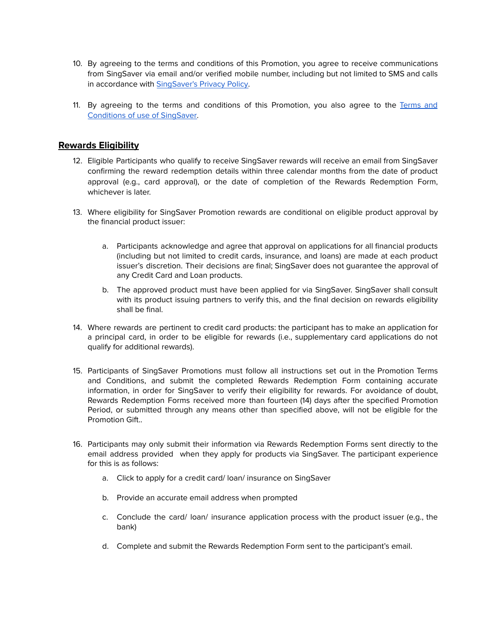- 10. By agreeing to the terms and conditions of this Promotion, you agree to receive communications from SingSaver via email and/or verified mobile number, including but not limited to SMS and calls in accordance with [SingSaver's](https://www.singsaver.com.sg/privacy-policy) Privacy Policy.
- 11. By agreeing to the terms and conditions of this Promotion, you also agree to the [Terms](https://www.singsaver.com.sg/terms) and [Conditions](https://www.singsaver.com.sg/terms) of use of SingSaver.

### <span id="page-5-0"></span>**Rewards Eligibility**

- 12. Eligible Participants who qualify to receive SingSaver rewards will receive an email from SingSaver confirming the reward redemption details within three calendar months from the date of product approval (e.g., card approval), or the date of completion of the Rewards Redemption Form, whichever is later.
- 13. Where eligibility for SingSaver Promotion rewards are conditional on eligible product approval by the financial product issuer:
	- a. Participants acknowledge and agree that approval on applications for all financial products (including but not limited to credit cards, insurance, and loans) are made at each product issuer's discretion. Their decisions are final; SingSaver does not guarantee the approval of any Credit Card and Loan products.
	- b. The approved product must have been applied for via SingSaver. SingSaver shall consult with its product issuing partners to verify this, and the final decision on rewards eligibility shall be final.
- 14. Where rewards are pertinent to credit card products: the participant has to make an application for a principal card, in order to be eligible for rewards (i.e., supplementary card applications do not qualify for additional rewards).
- 15. Participants of SingSaver Promotions must follow all instructions set out in the Promotion Terms and Conditions, and submit the completed Rewards Redemption Form containing accurate information, in order for SingSaver to verify their eligibility for rewards. For avoidance of doubt, Rewards Redemption Forms received more than fourteen (14) days after the specified Promotion Period, or submitted through any means other than specified above, will not be eligible for the Promotion Gift..
- 16. Participants may only submit their information via Rewards Redemption Forms sent directly to the email address provided when they apply for products via SingSaver. The participant experience for this is as follows:
	- a. Click to apply for a credit card/ loan/ insurance on SingSaver
	- b. Provide an accurate email address when prompted
	- c. Conclude the card/ loan/ insurance application process with the product issuer (e.g., the bank)
	- d. Complete and submit the Rewards Redemption Form sent to the participant's email.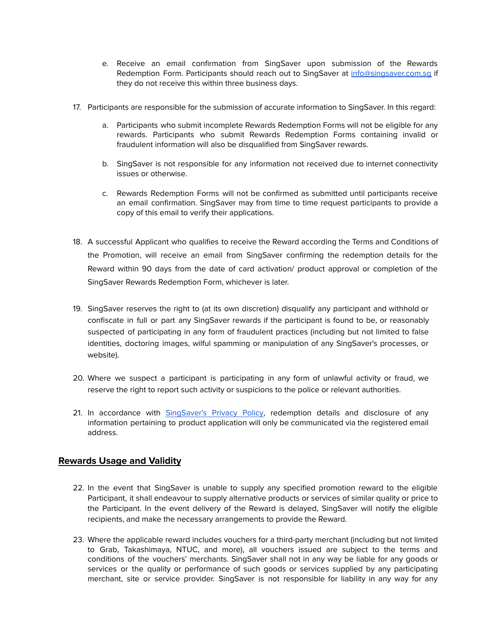- e. Receive an email confirmation from SingSaver upon submission of the Rewards Redemption Form. Participants should reach out to SingSaver at [info@singsaver.com.sg](mailto:info@singsaver.com.sg) if they do not receive this within three business days.
- 17. Participants are responsible for the submission of accurate information to SingSaver. In this regard:
	- a. Participants who submit incomplete Rewards Redemption Forms will not be eligible for any rewards. Participants who submit Rewards Redemption Forms containing invalid or fraudulent information will also be disqualified from SingSaver rewards.
	- b. SingSaver is not responsible for any information not received due to internet connectivity issues or otherwise.
	- c. Rewards Redemption Forms will not be confirmed as submitted until participants receive an email confirmation. SingSaver may from time to time request participants to provide a copy of this email to verify their applications.
- 18. A successful Applicant who qualifies to receive the Reward according the Terms and Conditions of the Promotion, will receive an email from SingSaver confirming the redemption details for the Reward within 90 days from the date of card activation/ product approval or completion of the SingSaver Rewards Redemption Form, whichever is later.
- 19. SingSaver reserves the right to (at its own discretion) disqualify any participant and withhold or confiscate in full or part any SingSaver rewards if the participant is found to be, or reasonably suspected of participating in any form of fraudulent practices (including but not limited to false identities, doctoring images, wilful spamming or manipulation of any SingSaver's processes, or website).
- 20. Where we suspect a participant is participating in any form of unlawful activity or fraud, we reserve the right to report such activity or suspicions to the police or relevant authorities.
- 21. In accordance with [SingSaver's](https://www.singsaver.com.sg/privacy-policy) Privacy Policy, redemption details and disclosure of any information pertaining to product application will only be communicated via the registered email address.

### <span id="page-6-0"></span>**Rewards Usage and Validity**

- 22. In the event that SingSaver is unable to supply any specified promotion reward to the eligible Participant, it shall endeavour to supply alternative products or services of similar quality or price to the Participant. In the event delivery of the Reward is delayed, SingSaver will notify the eligible recipients, and make the necessary arrangements to provide the Reward.
- 23. Where the applicable reward includes vouchers for a third-party merchant (including but not limited to Grab, Takashimaya, NTUC, and more), all vouchers issued are subject to the terms and conditions of the vouchers' merchants. SingSaver shall not in any way be liable for any goods or services or the quality or performance of such goods or services supplied by any participating merchant, site or service provider. SingSaver is not responsible for liability in any way for any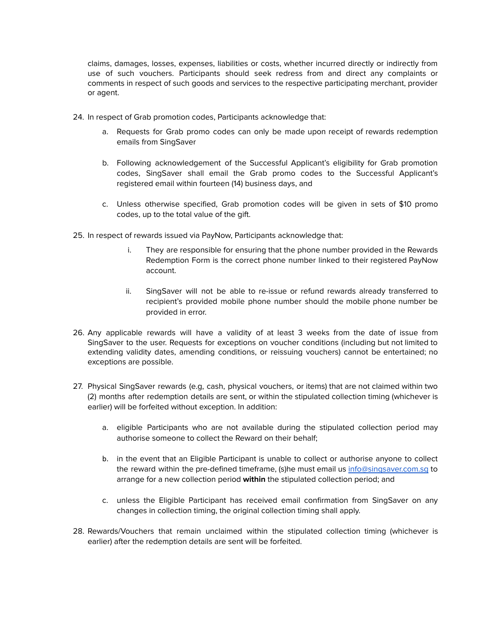claims, damages, losses, expenses, liabilities or costs, whether incurred directly or indirectly from use of such vouchers. Participants should seek redress from and direct any complaints or comments in respect of such goods and services to the respective participating merchant, provider or agent.

- 24. In respect of Grab promotion codes, Participants acknowledge that:
	- a. Requests for Grab promo codes can only be made upon receipt of rewards redemption emails from SingSaver
	- b. Following acknowledgement of the Successful Applicant's eligibility for Grab promotion codes, SingSaver shall email the Grab promo codes to the Successful Applicant's registered email within fourteen (14) business days, and
	- c. Unless otherwise specified, Grab promotion codes will be given in sets of \$10 promo codes, up to the total value of the gift.
- 25. In respect of rewards issued via PayNow, Participants acknowledge that:
	- i. They are responsible for ensuring that the phone number provided in the Rewards Redemption Form is the correct phone number linked to their registered PayNow account.
	- ii. SingSaver will not be able to re-issue or refund rewards already transferred to recipient's provided mobile phone number should the mobile phone number be provided in error.
- 26. Any applicable rewards will have a validity of at least 3 weeks from the date of issue from SingSaver to the user. Requests for exceptions on voucher conditions (including but not limited to extending validity dates, amending conditions, or reissuing vouchers) cannot be entertained; no exceptions are possible.
- 27. Physical SingSaver rewards (e.g, cash, physical vouchers, or items) that are not claimed within two (2) months after redemption details are sent, or within the stipulated collection timing (whichever is earlier) will be forfeited without exception. In addition:
	- a. eligible Participants who are not available during the stipulated collection period may authorise someone to collect the Reward on their behalf;
	- b. in the event that an Eligible Participant is unable to collect or authorise anyone to collect the reward within the pre-defined timeframe, (s)he must email us [info@singsaver.com.sg](mailto:info@singsaver.com.sg) to arrange for a new collection period **within** the stipulated collection period; and
	- c. unless the Eligible Participant has received email confirmation from SingSaver on any changes in collection timing, the original collection timing shall apply.
- 28. Rewards/Vouchers that remain unclaimed within the stipulated collection timing (whichever is earlier) after the redemption details are sent will be forfeited.